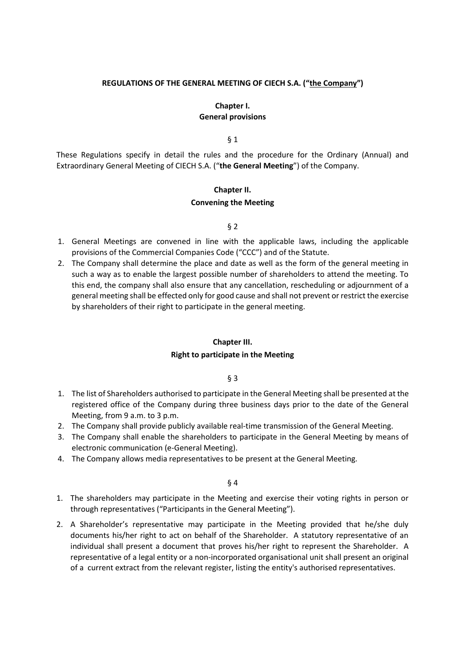#### **REGULATIONS OF THE GENERAL MEETING OF CIECH S.A. ("the Company")**

# **Chapter I. General provisions**

§ 1

These Regulations specify in detail the rules and the procedure for the Ordinary (Annual) and Extraordinary General Meeting of CIECH S.A. ("**the General Meeting**") of the Company.

# **Chapter II.**

#### **Convening the Meeting**

#### § 2

- 1. General Meetings are convened in line with the applicable laws, including the applicable provisions of the Commercial Companies Code ("CCC") and of the Statute.
- 2. The Company shall determine the place and date as well as the form of the general meeting in such a way as to enable the largest possible number of shareholders to attend the meeting. To this end, the company shall also ensure that any cancellation, rescheduling or adjournment of a general meeting shall be effected only for good cause and shall not prevent or restrict the exercise by shareholders of their right to participate in the general meeting.

#### **Chapter III.**

#### **Right to participate in the Meeting**

§ 3

- 1. The list of Shareholders authorised to participate in the General Meeting shall be presented at the registered office of the Company during three business days prior to the date of the General Meeting, from 9 a.m. to 3 p.m.
- 2. The Company shall provide publicly available real-time transmission of the General Meeting.
- 3. The Company shall enable the shareholders to participate in the General Meeting by means of electronic communication (e-General Meeting).
- 4. The Company allows media representatives to be present at the General Meeting.

- 1. The shareholders may participate in the Meeting and exercise their voting rights in person or through representatives ("Participants in the General Meeting").
- 2. A Shareholder's representative may participate in the Meeting provided that he/she duly documents his/her right to act on behalf of the Shareholder. A statutory representative of an individual shall present a document that proves his/her right to represent the Shareholder. A representative of a legal entity or a non-incorporated organisational unit shall present an original of a current extract from the relevant register, listing the entity's authorised representatives.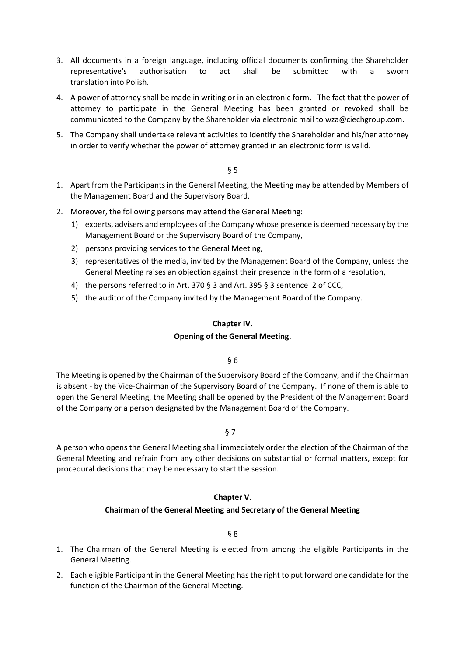- 3. All documents in a foreign language, including official documents confirming the Shareholder representative's authorisation to act shall be submitted with a sworn translation into Polish.
- 4. A power of attorney shall be made in writing or in an electronic form. The fact that the power of attorney to participate in the General Meeting has been granted or revoked shall be communicated to the Company by the Shareholder via electronic mail to wza@ciechgroup.com.
- 5. The Company shall undertake relevant activities to identify the Shareholder and his/her attorney in order to verify whether the power of attorney granted in an electronic form is valid.

- 1. Apart from the Participants in the General Meeting, the Meeting may be attended by Members of the Management Board and the Supervisory Board.
- 2. Moreover, the following persons may attend the General Meeting:
	- 1) experts, advisers and employees of the Company whose presence is deemed necessary by the Management Board or the Supervisory Board of the Company,
	- 2) persons providing services to the General Meeting,
	- 3) representatives of the media, invited by the Management Board of the Company, unless the General Meeting raises an objection against their presence in the form of a resolution,
	- 4) the persons referred to in Art. 370 § 3 and Art. 395 § 3 sentence 2 of CCC,
	- 5) the auditor of the Company invited by the Management Board of the Company.

#### **Chapter IV.**

# **Opening of the General Meeting.**

# § 6

The Meeting is opened by the Chairman of the Supervisory Board of the Company, and if the Chairman is absent - by the Vice-Chairman of the Supervisory Board of the Company. If none of them is able to open the General Meeting, the Meeting shall be opened by the President of the Management Board of the Company or a person designated by the Management Board of the Company.

§ 7

A person who opens the General Meeting shall immediately order the election of the Chairman of the General Meeting and refrain from any other decisions on substantial or formal matters, except for procedural decisions that may be necessary to start the session.

# **Chapter V.**

# **Chairman of the General Meeting and Secretary of the General Meeting**

- 1. The Chairman of the General Meeting is elected from among the eligible Participants in the General Meeting.
- 2. Each eligible Participant in the General Meeting has the right to put forward one candidate for the function of the Chairman of the General Meeting.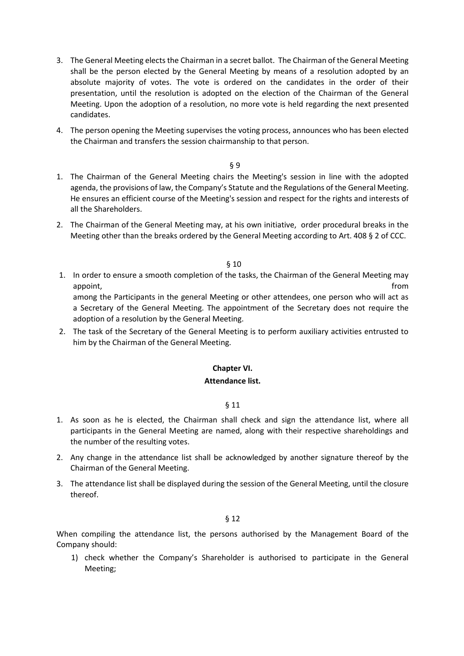- 3. The General Meeting elects the Chairman in a secret ballot. The Chairman of the General Meeting shall be the person elected by the General Meeting by means of a resolution adopted by an absolute majority of votes. The vote is ordered on the candidates in the order of their presentation, until the resolution is adopted on the election of the Chairman of the General Meeting. Upon the adoption of a resolution, no more vote is held regarding the next presented candidates.
- 4. The person opening the Meeting supervises the voting process, announces who has been elected the Chairman and transfers the session chairmanship to that person.

- 1. The Chairman of the General Meeting chairs the Meeting's session in line with the adopted agenda, the provisions of law, the Company's Statute and the Regulations of the General Meeting. He ensures an efficient course of the Meeting's session and respect for the rights and interests of all the Shareholders.
- 2. The Chairman of the General Meeting may, at his own initiative, order procedural breaks in the Meeting other than the breaks ordered by the General Meeting according to Art. 408 § 2 of CCC.

§ 10

1. In order to ensure a smooth completion of the tasks, the Chairman of the General Meeting may appoint, the contract of the contract of the contract of the contract of the contract of the contract of the contract of the contract of the contract of the contract of the contract of the contract of the contract of the c among the Participants in the general Meeting or other attendees, one person who will act as

a Secretary of the General Meeting. The appointment of the Secretary does not require the adoption of a resolution by the General Meeting.

2. The task of the Secretary of the General Meeting is to perform auxiliary activities entrusted to him by the Chairman of the General Meeting.

# **Chapter VI.**

#### **Attendance list.**

§ 11

- 1. As soon as he is elected, the Chairman shall check and sign the attendance list, where all participants in the General Meeting are named, along with their respective shareholdings and the number of the resulting votes.
- 2. Any change in the attendance list shall be acknowledged by another signature thereof by the Chairman of the General Meeting.
- 3. The attendance list shall be displayed during the session of the General Meeting, until the closure thereof.

#### § 12

When compiling the attendance list, the persons authorised by the Management Board of the Company should:

1) check whether the Company's Shareholder is authorised to participate in the General Meeting;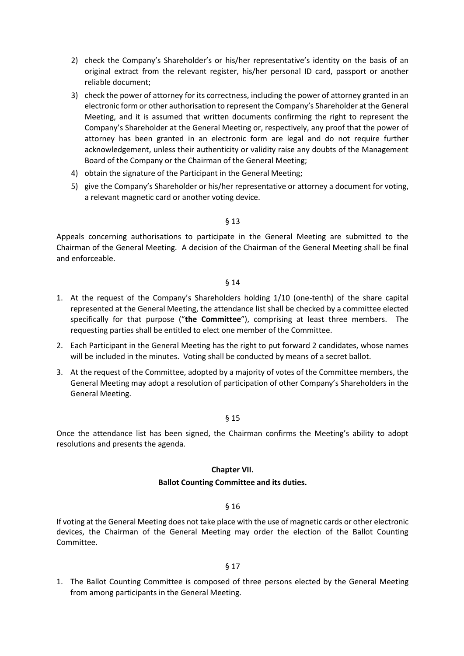- 2) check the Company's Shareholder's or his/her representative's identity on the basis of an original extract from the relevant register, his/her personal ID card, passport or another reliable document;
- 3) check the power of attorney for its correctness, including the power of attorney granted in an electronic form or other authorisation to represent the Company's Shareholder at the General Meeting, and it is assumed that written documents confirming the right to represent the Company's Shareholder at the General Meeting or, respectively, any proof that the power of attorney has been granted in an electronic form are legal and do not require further acknowledgement, unless their authenticity or validity raise any doubts of the Management Board of the Company or the Chairman of the General Meeting;
- 4) obtain the signature of the Participant in the General Meeting;
- 5) give the Company's Shareholder or his/her representative or attorney a document for voting, a relevant magnetic card or another voting device.

Appeals concerning authorisations to participate in the General Meeting are submitted to the Chairman of the General Meeting. A decision of the Chairman of the General Meeting shall be final and enforceable.

#### § 14

- 1. At the request of the Company's Shareholders holding 1/10 (one-tenth) of the share capital represented at the General Meeting, the attendance list shall be checked by a committee elected specifically for that purpose ("**the Committee**"), comprising at least three members. The requesting parties shall be entitled to elect one member of the Committee.
- 2. Each Participant in the General Meeting has the right to put forward 2 candidates, whose names will be included in the minutes. Voting shall be conducted by means of a secret ballot.
- 3. At the request of the Committee, adopted by a majority of votes of the Committee members, the General Meeting may adopt a resolution of participation of other Company's Shareholders in the General Meeting.

# § 15

Once the attendance list has been signed, the Chairman confirms the Meeting's ability to adopt resolutions and presents the agenda.

# **Chapter VII.**

# **Ballot Counting Committee and its duties.**

# § 16

If voting at the General Meeting does not take place with the use of magnetic cards or other electronic devices, the Chairman of the General Meeting may order the election of the Ballot Counting Committee.

#### § 17

1. The Ballot Counting Committee is composed of three persons elected by the General Meeting from among participants in the General Meeting.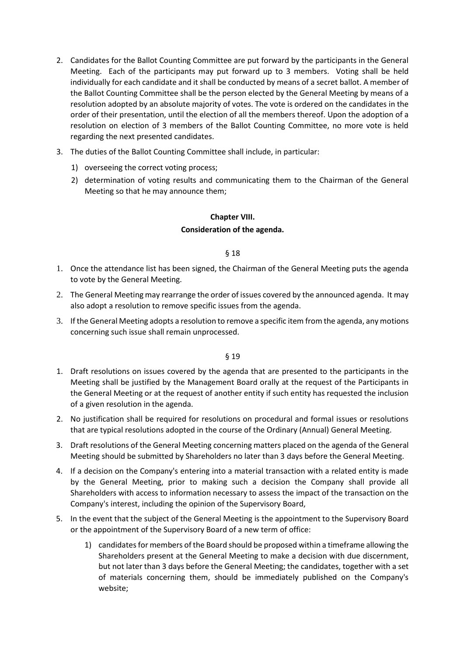- 2. Candidates for the Ballot Counting Committee are put forward by the participants in the General Meeting. Each of the participants may put forward up to 3 members. Voting shall be held individually for each candidate and it shall be conducted by means of a secret ballot. A member of the Ballot Counting Committee shall be the person elected by the General Meeting by means of a resolution adopted by an absolute majority of votes. The vote is ordered on the candidates in the order of their presentation, until the election of all the members thereof. Upon the adoption of a resolution on election of 3 members of the Ballot Counting Committee, no more vote is held regarding the next presented candidates.
- 3. The duties of the Ballot Counting Committee shall include, in particular:
	- 1) overseeing the correct voting process;
	- 2) determination of voting results and communicating them to the Chairman of the General Meeting so that he may announce them;

# **Chapter VIII. Consideration of the agenda.**

# § 18

- 1. Once the attendance list has been signed, the Chairman of the General Meeting puts the agenda to vote by the General Meeting.
- 2. The General Meeting may rearrange the order of issues covered by the announced agenda. It may also adopt a resolution to remove specific issues from the agenda.
- 3. If the General Meeting adopts a resolution to remove a specific item from the agenda, any motions concerning such issue shall remain unprocessed.

- 1. Draft resolutions on issues covered by the agenda that are presented to the participants in the Meeting shall be justified by the Management Board orally at the request of the Participants in the General Meeting or at the request of another entity if such entity has requested the inclusion of a given resolution in the agenda.
- 2. No justification shall be required for resolutions on procedural and formal issues or resolutions that are typical resolutions adopted in the course of the Ordinary (Annual) General Meeting.
- 3. Draft resolutions of the General Meeting concerning matters placed on the agenda of the General Meeting should be submitted by Shareholders no later than 3 days before the General Meeting.
- 4. If a decision on the Company's entering into a material transaction with a related entity is made by the General Meeting, prior to making such a decision the Company shall provide all Shareholders with access to information necessary to assess the impact of the transaction on the Company's interest, including the opinion of the Supervisory Board,
- 5. In the event that the subject of the General Meeting is the appointment to the Supervisory Board or the appointment of the Supervisory Board of a new term of office:
	- 1) candidates for members of the Board should be proposed within a timeframe allowing the Shareholders present at the General Meeting to make a decision with due discernment, but not later than 3 days before the General Meeting; the candidates, together with a set of materials concerning them, should be immediately published on the Company's website;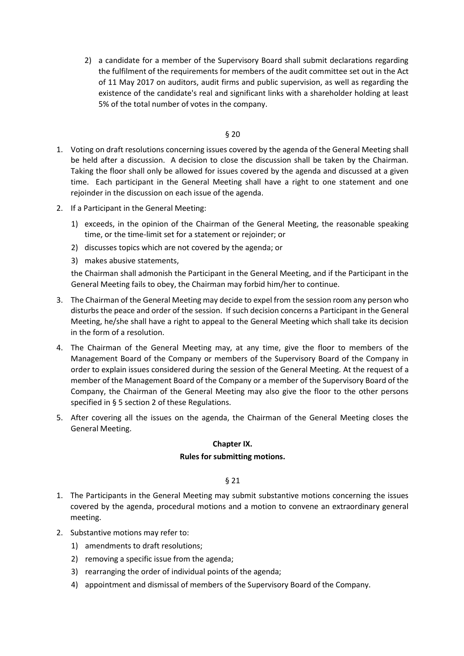2) a candidate for a member of the Supervisory Board shall submit declarations regarding the fulfilment of the requirements for members of the audit committee set out in the Act of 11 May 2017 on auditors, audit firms and public supervision, as well as regarding the existence of the candidate's real and significant links with a shareholder holding at least 5% of the total number of votes in the company.

#### § 20

- 1. Voting on draft resolutions concerning issues covered by the agenda of the General Meeting shall be held after a discussion. A decision to close the discussion shall be taken by the Chairman. Taking the floor shall only be allowed for issues covered by the agenda and discussed at a given time. Each participant in the General Meeting shall have a right to one statement and one rejoinder in the discussion on each issue of the agenda.
- 2. If a Participant in the General Meeting:
	- 1) exceeds, in the opinion of the Chairman of the General Meeting, the reasonable speaking time, or the time-limit set for a statement or rejoinder; or
	- 2) discusses topics which are not covered by the agenda; or
	- 3) makes abusive statements,

the Chairman shall admonish the Participant in the General Meeting, and if the Participant in the General Meeting fails to obey, the Chairman may forbid him/her to continue.

- 3. The Chairman of the General Meeting may decide to expel from the session room any person who disturbs the peace and order of the session. If such decision concerns a Participant in the General Meeting, he/she shall have a right to appeal to the General Meeting which shall take its decision in the form of a resolution.
- 4. The Chairman of the General Meeting may, at any time, give the floor to members of the Management Board of the Company or members of the Supervisory Board of the Company in order to explain issues considered during the session of the General Meeting. At the request of a member of the Management Board of the Company or a member of the Supervisory Board of the Company, the Chairman of the General Meeting may also give the floor to the other persons specified in § 5 section 2 of these Regulations.
- 5. After covering all the issues on the agenda, the Chairman of the General Meeting closes the General Meeting.

# **Chapter IX.**

# **Rules for submitting motions.**

- 1. The Participants in the General Meeting may submit substantive motions concerning the issues covered by the agenda, procedural motions and a motion to convene an extraordinary general meeting.
- 2. Substantive motions may refer to:
	- 1) amendments to draft resolutions;
	- 2) removing a specific issue from the agenda;
	- 3) rearranging the order of individual points of the agenda;
	- 4) appointment and dismissal of members of the Supervisory Board of the Company.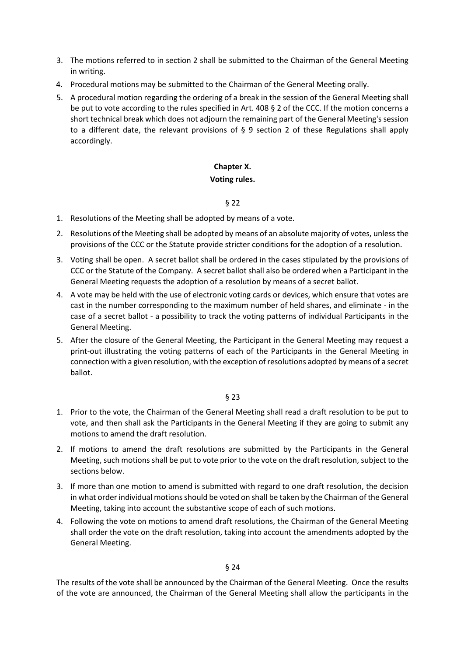- 3. The motions referred to in section 2 shall be submitted to the Chairman of the General Meeting in writing.
- 4. Procedural motions may be submitted to the Chairman of the General Meeting orally.
- 5. A procedural motion regarding the ordering of a break in the session of the General Meeting shall be put to vote according to the rules specified in Art. 408 § 2 of the CCC. If the motion concerns a short technical break which does not adjourn the remaining part of the General Meeting's session to a different date, the relevant provisions of § 9 section 2 of these Regulations shall apply accordingly.

# **Chapter X.**

# **Voting rules.**

# § 22

- 1. Resolutions of the Meeting shall be adopted by means of a vote.
- 2. Resolutions of the Meeting shall be adopted by means of an absolute majority of votes, unless the provisions of the CCC or the Statute provide stricter conditions for the adoption of a resolution.
- 3. Voting shall be open. A secret ballot shall be ordered in the cases stipulated by the provisions of CCC or the Statute of the Company. A secret ballot shall also be ordered when a Participant in the General Meeting requests the adoption of a resolution by means of a secret ballot.
- 4. A vote may be held with the use of electronic voting cards or devices, which ensure that votes are cast in the number corresponding to the maximum number of held shares, and eliminate - in the case of a secret ballot - a possibility to track the voting patterns of individual Participants in the General Meeting.
- 5. After the closure of the General Meeting, the Participant in the General Meeting may request a print-out illustrating the voting patterns of each of the Participants in the General Meeting in connection with a given resolution, with the exception of resolutions adopted by means of a secret ballot.

# § 23

- 1. Prior to the vote, the Chairman of the General Meeting shall read a draft resolution to be put to vote, and then shall ask the Participants in the General Meeting if they are going to submit any motions to amend the draft resolution.
- 2. If motions to amend the draft resolutions are submitted by the Participants in the General Meeting, such motions shall be put to vote prior to the vote on the draft resolution, subject to the sections below.
- 3. If more than one motion to amend is submitted with regard to one draft resolution, the decision in what order individual motions should be voted on shall be taken by the Chairman of the General Meeting, taking into account the substantive scope of each of such motions.
- 4. Following the vote on motions to amend draft resolutions, the Chairman of the General Meeting shall order the vote on the draft resolution, taking into account the amendments adopted by the General Meeting.

# § 24

The results of the vote shall be announced by the Chairman of the General Meeting. Once the results of the vote are announced, the Chairman of the General Meeting shall allow the participants in the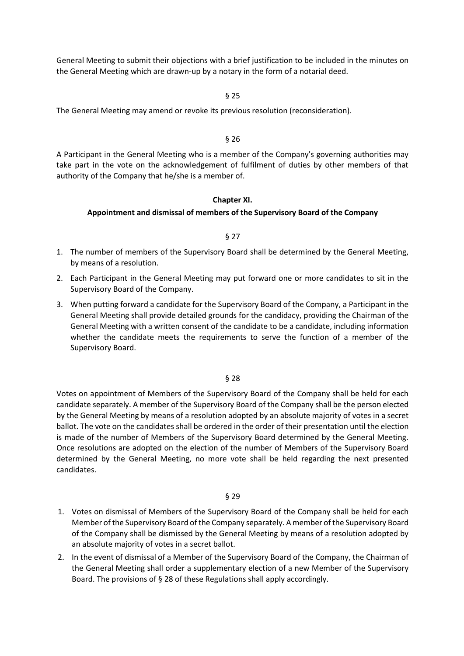General Meeting to submit their objections with a brief justification to be included in the minutes on the General Meeting which are drawn-up by a notary in the form of a notarial deed.

#### § 25

The General Meeting may amend or revoke its previous resolution (reconsideration).

#### § 26

A Participant in the General Meeting who is a member of the Company's governing authorities may take part in the vote on the acknowledgement of fulfilment of duties by other members of that authority of the Company that he/she is a member of.

# **Chapter XI.**

#### **Appointment and dismissal of members of the Supervisory Board of the Company**

#### § 27

- 1. The number of members of the Supervisory Board shall be determined by the General Meeting, by means of a resolution.
- 2. Each Participant in the General Meeting may put forward one or more candidates to sit in the Supervisory Board of the Company.
- 3. When putting forward a candidate for the Supervisory Board of the Company, a Participant in the General Meeting shall provide detailed grounds for the candidacy, providing the Chairman of the General Meeting with a written consent of the candidate to be a candidate, including information whether the candidate meets the requirements to serve the function of a member of the Supervisory Board.

#### § 28

Votes on appointment of Members of the Supervisory Board of the Company shall be held for each candidate separately. A member of the Supervisory Board of the Company shall be the person elected by the General Meeting by means of a resolution adopted by an absolute majority of votes in a secret ballot. The vote on the candidates shall be ordered in the order of their presentation until the election is made of the number of Members of the Supervisory Board determined by the General Meeting. Once resolutions are adopted on the election of the number of Members of the Supervisory Board determined by the General Meeting, no more vote shall be held regarding the next presented candidates.

- 1. Votes on dismissal of Members of the Supervisory Board of the Company shall be held for each Member of the Supervisory Board of the Company separately. A member of the Supervisory Board of the Company shall be dismissed by the General Meeting by means of a resolution adopted by an absolute majority of votes in a secret ballot.
- 2. In the event of dismissal of a Member of the Supervisory Board of the Company, the Chairman of the General Meeting shall order a supplementary election of a new Member of the Supervisory Board. The provisions of § 28 of these Regulations shall apply accordingly.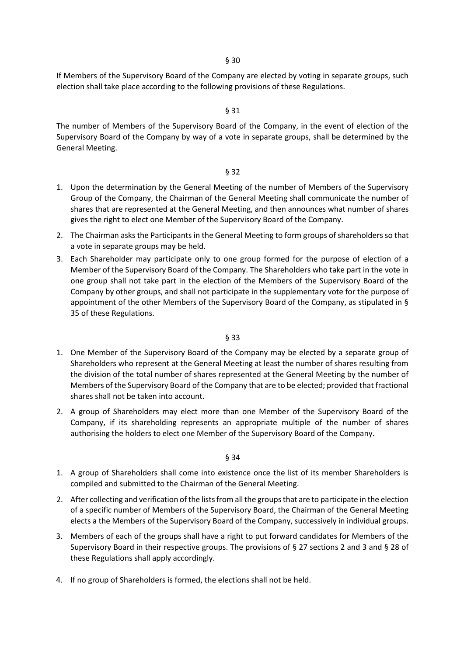If Members of the Supervisory Board of the Company are elected by voting in separate groups, such election shall take place according to the following provisions of these Regulations.

#### § 31

The number of Members of the Supervisory Board of the Company, in the event of election of the Supervisory Board of the Company by way of a vote in separate groups, shall be determined by the General Meeting.

# § 32

- 1. Upon the determination by the General Meeting of the number of Members of the Supervisory Group of the Company, the Chairman of the General Meeting shall communicate the number of shares that are represented at the General Meeting, and then announces what number of shares gives the right to elect one Member of the Supervisory Board of the Company.
- 2. The Chairman asks the Participants in the General Meeting to form groups of shareholders so that a vote in separate groups may be held.
- 3. Each Shareholder may participate only to one group formed for the purpose of election of a Member of the Supervisory Board of the Company. The Shareholders who take part in the vote in one group shall not take part in the election of the Members of the Supervisory Board of the Company by other groups, and shall not participate in the supplementary vote for the purpose of appointment of the other Members of the Supervisory Board of the Company, as stipulated in § 35 of these Regulations.

#### § 33

- 1. One Member of the Supervisory Board of the Company may be elected by a separate group of Shareholders who represent at the General Meeting at least the number of shares resulting from the division of the total number of shares represented at the General Meeting by the number of Members of the Supervisory Board of the Company that are to be elected; provided that fractional shares shall not be taken into account.
- 2. A group of Shareholders may elect more than one Member of the Supervisory Board of the Company, if its shareholding represents an appropriate multiple of the number of shares authorising the holders to elect one Member of the Supervisory Board of the Company.

- 1. A group of Shareholders shall come into existence once the list of its member Shareholders is compiled and submitted to the Chairman of the General Meeting.
- 2. After collecting and verification of the lists from all the groups that are to participate in the election of a specific number of Members of the Supervisory Board, the Chairman of the General Meeting elects a the Members of the Supervisory Board of the Company, successively in individual groups.
- 3. Members of each of the groups shall have a right to put forward candidates for Members of the Supervisory Board in their respective groups. The provisions of § 27 sections 2 and 3 and § 28 of these Regulations shall apply accordingly.
- 4. If no group of Shareholders is formed, the elections shall not be held.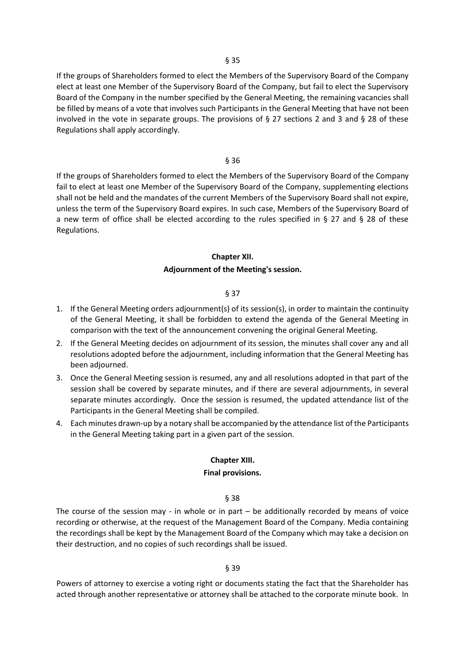If the groups of Shareholders formed to elect the Members of the Supervisory Board of the Company elect at least one Member of the Supervisory Board of the Company, but fail to elect the Supervisory Board of the Company in the number specified by the General Meeting, the remaining vacancies shall be filled by means of a vote that involves such Participants in the General Meeting that have not been involved in the vote in separate groups. The provisions of § 27 sections 2 and 3 and § 28 of these Regulations shall apply accordingly.

#### § 36

If the groups of Shareholders formed to elect the Members of the Supervisory Board of the Company fail to elect at least one Member of the Supervisory Board of the Company, supplementing elections shall not be held and the mandates of the current Members of the Supervisory Board shall not expire, unless the term of the Supervisory Board expires. In such case, Members of the Supervisory Board of a new term of office shall be elected according to the rules specified in § 27 and § 28 of these Regulations.

#### **Chapter XII.**

#### **Adjournment of the Meeting's session.**

# § 37

- 1. If the General Meeting orders adjournment(s) of its session(s), in order to maintain the continuity of the General Meeting, it shall be forbidden to extend the agenda of the General Meeting in comparison with the text of the announcement convening the original General Meeting.
- 2. If the General Meeting decides on adjournment of its session, the minutes shall cover any and all resolutions adopted before the adjournment, including information that the General Meeting has been adjourned.
- 3. Once the General Meeting session is resumed, any and all resolutions adopted in that part of the session shall be covered by separate minutes, and if there are several adjournments, in several separate minutes accordingly. Once the session is resumed, the updated attendance list of the Participants in the General Meeting shall be compiled.
- 4. Each minutes drawn-up by a notary shall be accompanied by the attendance list of the Participants in the General Meeting taking part in a given part of the session.

# **Chapter XIII.**

#### **Final provisions.**

§ 38

The course of the session may - in whole or in part – be additionally recorded by means of voice recording or otherwise, at the request of the Management Board of the Company. Media containing the recordings shall be kept by the Management Board of the Company which may take a decision on their destruction, and no copies of such recordings shall be issued.

#### § 39

Powers of attorney to exercise a voting right or documents stating the fact that the Shareholder has acted through another representative or attorney shall be attached to the corporate minute book. In